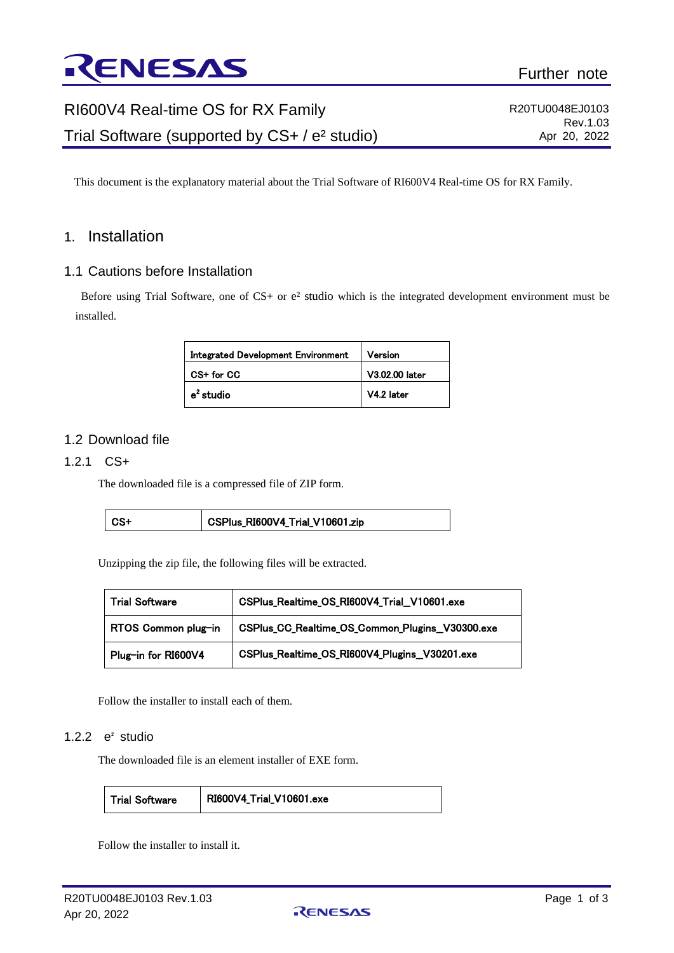

# RI600V4 Real-time OS for RX Family Trial Software (supported by CS+ / e² studio)

R20TU0048EJ0103 Rev.1.03 Apr 20, 2022

This document is the explanatory material about the Trial Software of RI600V4 Real-time OS for RX Family.

## 1. Installation

#### 1.1 Cautions before Installation

Before using Trial Software, one of CS+ or  $e^2$  studio which is the integrated development environment must be installed.

| Integrated Development Environment | Version        |
|------------------------------------|----------------|
| CS+ for CC                         | V3.02.00 later |
| e <sup>2</sup> studio              | V4.2 later     |

## 1.2 Download file

#### 1.2.1 CS+

The downloaded file is a compressed file of ZIP form.

| l CS+ | CSPlus_RI600V4_Trial_V10601.zip |
|-------|---------------------------------|
|-------|---------------------------------|

Unzipping the zip file, the following files will be extracted.

| <b>Trial Software</b> | CSPlus_Realtime_OS_RI600V4_Trial_V10601.exe     |  |
|-----------------------|-------------------------------------------------|--|
| RTOS Common plug-in   | CSPlus_CC_Realtime_OS_Common_Plugins_V30300.exe |  |
| Plug-in for RI600V4   | CSPlus_Realtime_OS_RI600V4_Plugins_V30201.exe   |  |

Follow the installer to install each of them.

#### 1.2.2 e² studio

The downloaded file is an element installer of EXE form.

Trial Software RI600V4\_Trial\_V10601.exe

Follow the installer to install it.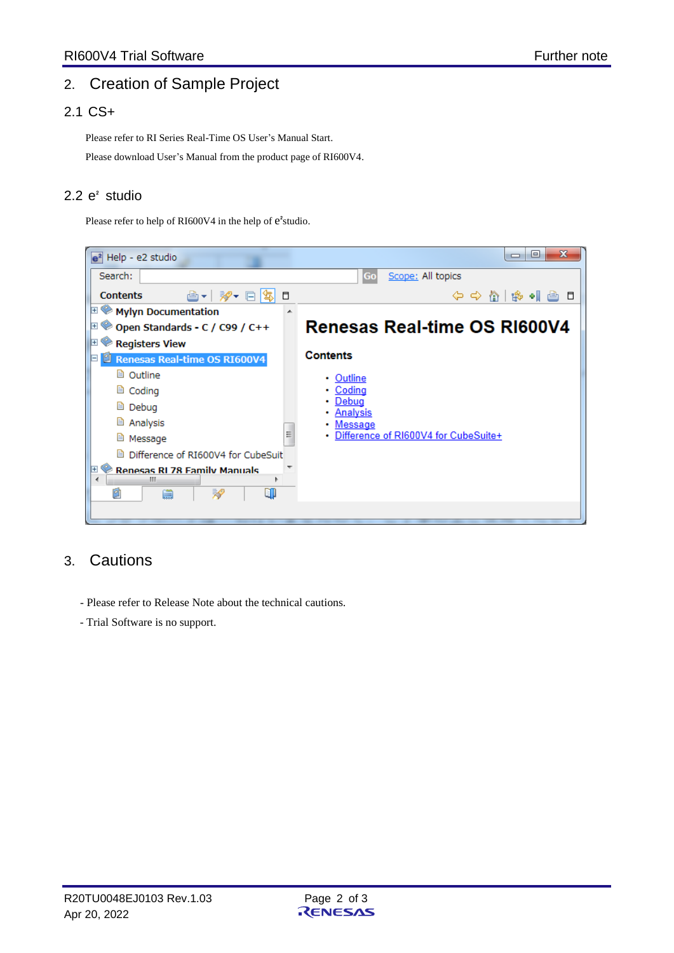# 2. Creation of Sample Project

# 2.1 CS+

Please refer to RI Series Real-Time OS User's Manual Start.

Please download User's Manual from the product page of RI600V4.

# 2.2 e² studio

Please refer to help of RI600V4 in the help of  $e^2$ studio.



# 3. Cautions

- Please refer to Release Note about the technical cautions.
- Trial Software is no support.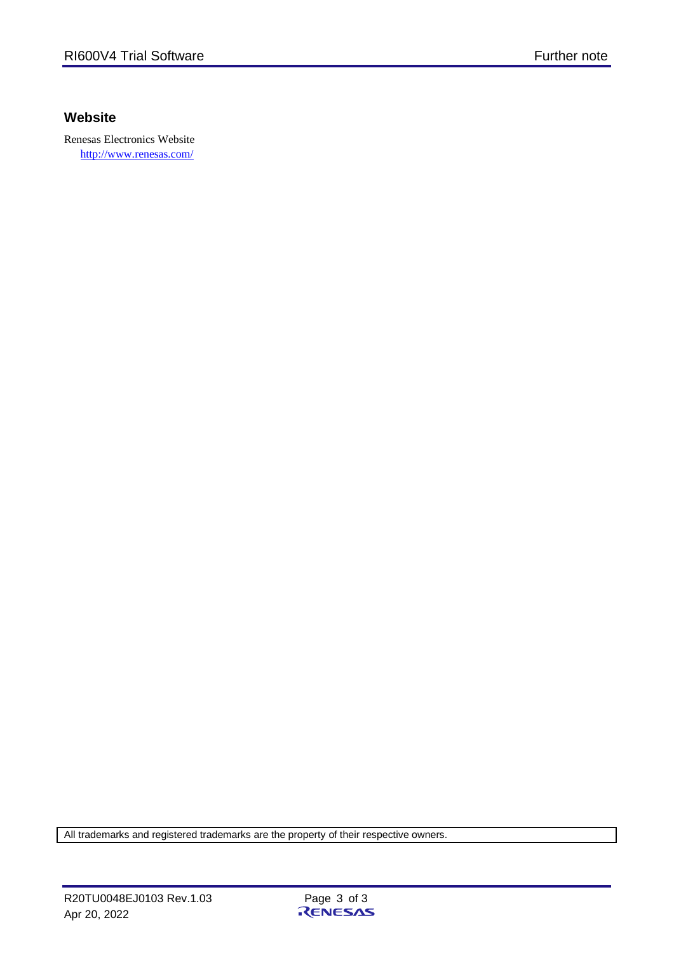# **Website**

Renesas Electronics Website <http://www.renesas.com/>

All trademarks and registered trademarks are the property of their respective owners.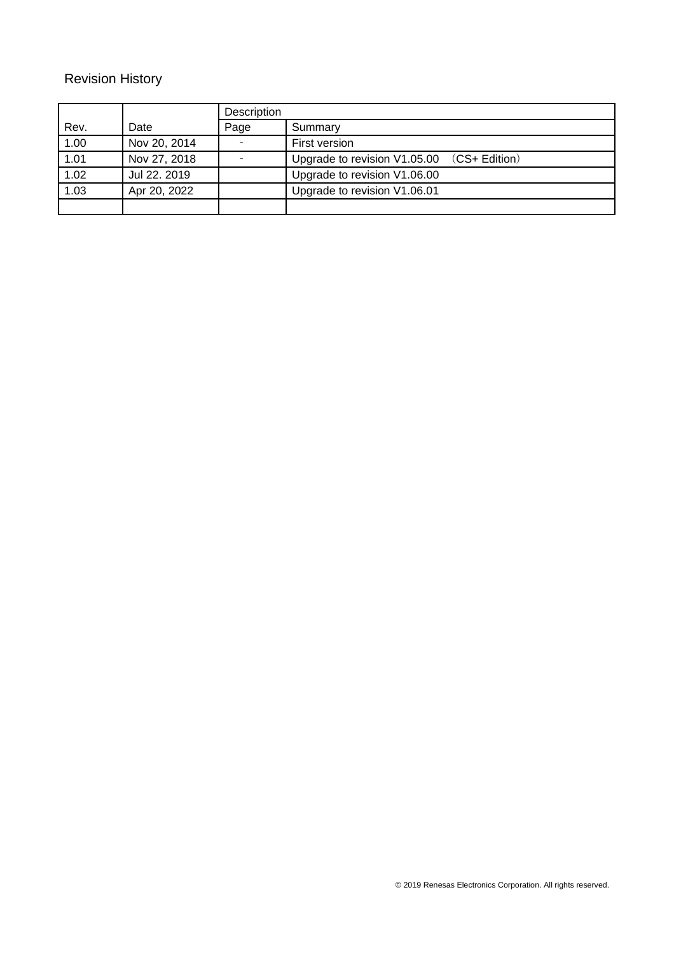# Revision History

|      |              | Description |                                            |
|------|--------------|-------------|--------------------------------------------|
| Rev. | Date         | Page        | Summary                                    |
| 1.00 | Nov 20, 2014 |             | First version                              |
| 1.01 | Nov 27, 2018 |             | Upgrade to revision V1.05.00 (CS+ Edition) |
| 1.02 | Jul 22, 2019 |             | Upgrade to revision V1.06.00               |
| 1.03 | Apr 20, 2022 |             | Upgrade to revision V1.06.01               |
|      |              |             |                                            |